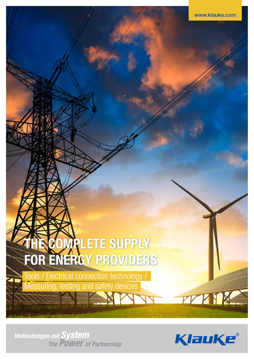# **THE COMPLETE SUPPLY** FOR ENERGY PROVIDERS

Tools / Electrical connection technology / Measuring, testing and safety devices



**PY Y TX** 

**Verbindungen mit System**<br>The POWET of Partnership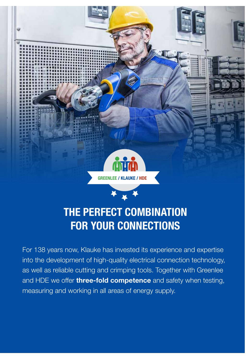

### THE PERFECT COMBINATION FOR YOUR CONNECTIONS

For 138 years now, Klauke has invested its experience and expertise into the development of high-quality electrical connection technology, as well as reliable cutting and crimping tools. Together with Greenlee and HDE we offer three-fold competence and safety when testing, measuring and working in all areas of energy supply.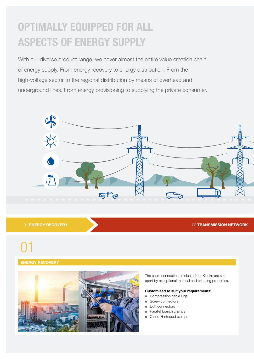### OPTIMALLY EQUIPPED FOR ALL ASPECTS OF ENERGY SUPPLY

With our diverse product range, we cover almost the entire value creation chain of energy supply. From energy recovery to energy distribution. From the high-voltage sector to the regional distribution by means of overhead and underground lines. From energy provisioning to supplying the private consumer.



01 ENERGY RECOVERY **DESCRIPTION CONTROL** 

## 01

#### ENERGY RECOVERY



The cable connection products from Klauke are set apart by exceptional material and crimping properties.

#### Customised to suit your requirements:

- Compression cable lugs
- Screw connectors
- **Butt connectors**
- Parallel branch clamps
- C and H-shaped clamps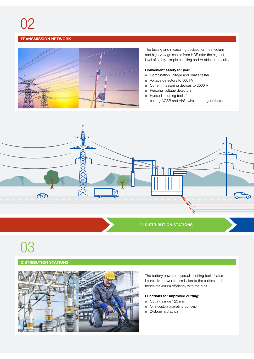# 02

#### TRANSMISSION NETWORK



The testing and measuring devices for the medium and high-voltage sector from HDE offer the highest level of safety, simple handling and reliable test results.

#### Convenient safety for you:

- Combination voltage and phase tester
- Voltage detectors to 500 kV
- Current measuring devices to 2000 A
- Personal voltage detectors
- Hydraulic cutting tools for cutting ACSR and Al/St wires, amongst others.



## 03

#### DISTRIBUTION STATIONS



The battery powered hydraulic cutting tools feature impressive power transmission to the cutters and hence maximum efficiency with the cuts.

#### Functions for improved cutting:

- Cutting range 120 mm
- One-button operating concept
- 2-stage hydraulics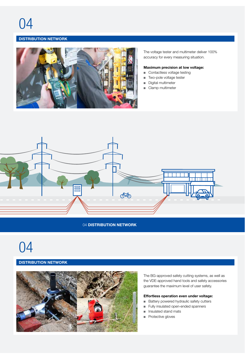#### DISTRIBUTION NETWORK



The voltage tester and multimeter deliver 100% accuracy for every measuring situation.

#### Maximum precision at low voltage:

- Contactless voltage testing
- Two-pole voltage tester
- Digital multimeter
- Clamp multimeter



#### 04 DISTRIBUTION NETWORK

## 04

#### DISTRIBUTION NETWORK



The BG-approved safety cutting systems, as well as the VDE-approved hand tools and safety accessories guarantee the maximum level of user safety.

#### Effortless operation even under voltage:

- Battery powered hydraulic safety cutters
- Fully insulated open-ended spanners
- Insulated stand mats
- Protective gloves